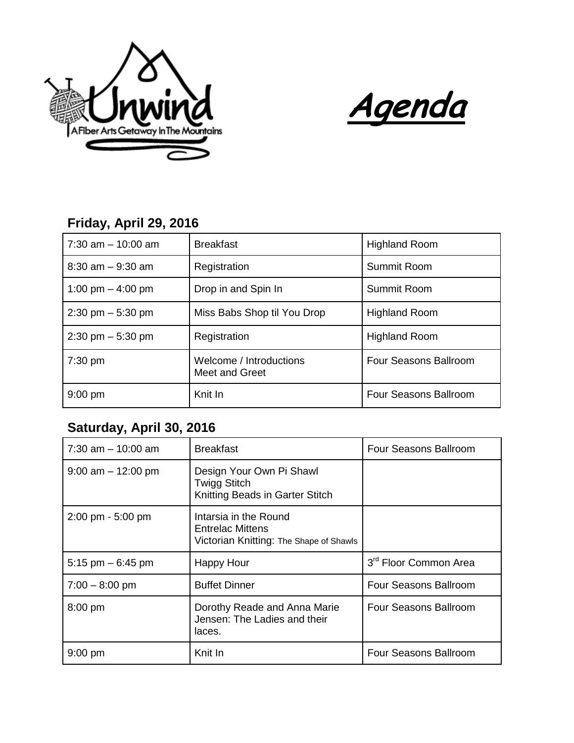



## **Friday, April 29, 2016**

| $7:30$ am $-10:00$ am               | <b>Breakfast</b>                          | <b>Highland Room</b>         |
|-------------------------------------|-------------------------------------------|------------------------------|
| $8:30$ am $-9:30$ am                | Registration                              | Summit Room                  |
| 1:00 pm $-$ 4:00 pm                 | Drop in and Spin In                       | Summit Room                  |
| $2:30 \text{ pm} - 5:30 \text{ pm}$ | Miss Babs Shop til You Drop               | <b>Highland Room</b>         |
| $2:30 \text{ pm} - 5:30 \text{ pm}$ | Registration                              | <b>Highland Room</b>         |
| $7:30$ pm                           | Welcome / Introductions<br>Meet and Greet | Four Seasons Ballroom        |
| $9:00$ pm                           | Knit In                                   | <b>Four Seasons Ballroom</b> |

## **Saturday, April 30, 2016**

| $7:30$ am $-10:00$ am               | <b>Breakfast</b>                                                                            | Four Seasons Ballroom             |
|-------------------------------------|---------------------------------------------------------------------------------------------|-----------------------------------|
| $9:00$ am $-12:00$ pm               | Design Your Own Pi Shawl<br>Twigg Stitch<br>Knitting Beads in Garter Stitch                 |                                   |
| $2:00 \text{ pm} - 5:00 \text{ pm}$ | Intarsia in the Round<br><b>Entrelac Mittens</b><br>Victorian Knitting: The Shape of Shawls |                                   |
| 5:15 pm $-6:45$ pm                  | Happy Hour                                                                                  | 3 <sup>rd</sup> Floor Common Area |
| $7:00 - 8:00$ pm                    | <b>Buffet Dinner</b>                                                                        | Four Seasons Ballroom             |
| 8:00 pm                             | Dorothy Reade and Anna Marie<br>Jensen: The Ladies and their<br>laces.                      | Four Seasons Ballroom             |
| $9:00$ pm                           | Knit In                                                                                     | Four Seasons Ballroom             |